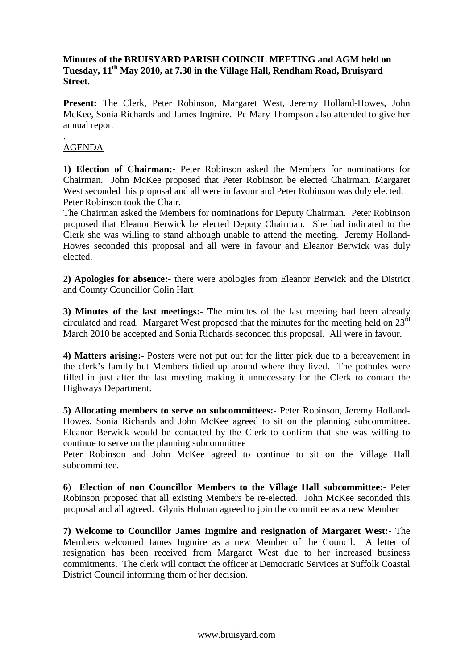#### **Minutes of the BRUISYARD PARISH COUNCIL MEETING and AGM held on Tuesday, 11th May 2010, at 7.30 in the Village Hall, Rendham Road, Bruisyard Street**.

**Present:** The Clerk, Peter Robinson, Margaret West, Jeremy Holland-Howes, John McKee, Sonia Richards and James Ingmire. Pc Mary Thompson also attended to give her annual report

#### . AGENDA

**1) Election of Chairman:-** Peter Robinson asked the Members for nominations for Chairman. John McKee proposed that Peter Robinson be elected Chairman. Margaret West seconded this proposal and all were in favour and Peter Robinson was duly elected. Peter Robinson took the Chair.

The Chairman asked the Members for nominations for Deputy Chairman. Peter Robinson proposed that Eleanor Berwick be elected Deputy Chairman. She had indicated to the Clerk she was willing to stand although unable to attend the meeting. Jeremy Holland-Howes seconded this proposal and all were in favour and Eleanor Berwick was duly elected.

**2) Apologies for absence:-** there were apologies from Eleanor Berwick and the District and County Councillor Colin Hart

**3) Minutes of the last meetings:-** The minutes of the last meeting had been already circulated and read. Margaret West proposed that the minutes for the meeting held on  $23<sup>rd</sup>$ March 2010 be accepted and Sonia Richards seconded this proposal. All were in favour.

**4) Matters arising:-** Posters were not put out for the litter pick due to a bereavement in the clerk's family but Members tidied up around where they lived. The potholes were filled in just after the last meeting making it unnecessary for the Clerk to contact the Highways Department.

**5) Allocating members to serve on subcommittees:-** Peter Robinson, Jeremy Holland-Howes, Sonia Richards and John McKee agreed to sit on the planning subcommittee. Eleanor Berwick would be contacted by the Clerk to confirm that she was willing to continue to serve on the planning subcommittee

Peter Robinson and John McKee agreed to continue to sit on the Village Hall subcommittee.

**6**) **Election of non Councillor Members to the Village Hall subcommittee:-** Peter Robinson proposed that all existing Members be re-elected. John McKee seconded this proposal and all agreed. Glynis Holman agreed to join the committee as a new Member

**7) Welcome to Councillor James Ingmire and resignation of Margaret West:-** The Members welcomed James Ingmire as a new Member of the Council. A letter of resignation has been received from Margaret West due to her increased business commitments. The clerk will contact the officer at Democratic Services at Suffolk Coastal District Council informing them of her decision.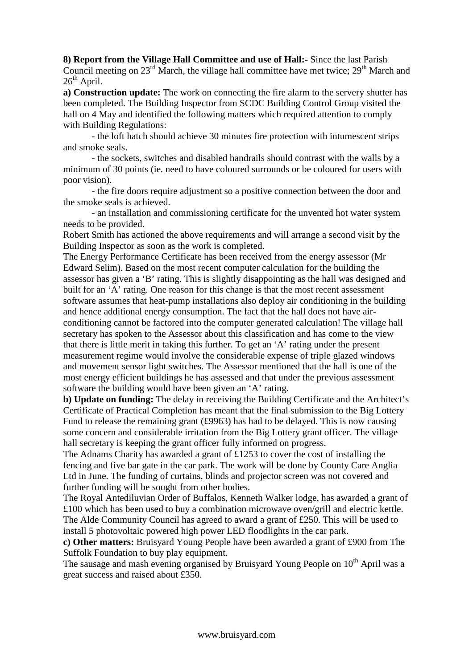**8) Report from the Village Hall Committee and use of Hall:-** Since the last Parish Council meeting on  $23<sup>rd</sup>$  March, the village hall committee have met twice;  $29<sup>th</sup>$  March and  $26<sup>th</sup>$  April.

**a) Construction update:** The work on connecting the fire alarm to the servery shutter has been completed. The Building Inspector from SCDC Building Control Group visited the hall on 4 May and identified the following matters which required attention to comply with Building Regulations:

 - the loft hatch should achieve 30 minutes fire protection with intumescent strips and smoke seals.

 - the sockets, switches and disabled handrails should contrast with the walls by a minimum of 30 points (ie. need to have coloured surrounds or be coloured for users with poor vision).

 - the fire doors require adjustment so a positive connection between the door and the smoke seals is achieved.

 - an installation and commissioning certificate for the unvented hot water system needs to be provided.

Robert Smith has actioned the above requirements and will arrange a second visit by the Building Inspector as soon as the work is completed.

The Energy Performance Certificate has been received from the energy assessor (Mr Edward Selim). Based on the most recent computer calculation for the building the assessor has given a 'B' rating. This is slightly disappointing as the hall was designed and built for an 'A' rating. One reason for this change is that the most recent assessment software assumes that heat-pump installations also deploy air conditioning in the building and hence additional energy consumption. The fact that the hall does not have airconditioning cannot be factored into the computer generated calculation! The village hall secretary has spoken to the Assessor about this classification and has come to the view that there is little merit in taking this further. To get an 'A' rating under the present measurement regime would involve the considerable expense of triple glazed windows and movement sensor light switches. The Assessor mentioned that the hall is one of the most energy efficient buildings he has assessed and that under the previous assessment software the building would have been given an 'A' rating.

**b) Update on funding:** The delay in receiving the Building Certificate and the Architect's Certificate of Practical Completion has meant that the final submission to the Big Lottery Fund to release the remaining grant (£9963) has had to be delayed. This is now causing some concern and considerable irritation from the Big Lottery grant officer. The village hall secretary is keeping the grant officer fully informed on progress.

The Adnams Charity has awarded a grant of £1253 to cover the cost of installing the fencing and five bar gate in the car park. The work will be done by County Care Anglia Ltd in June. The funding of curtains, blinds and projector screen was not covered and further funding will be sought from other bodies.

The Royal Antediluvian Order of Buffalos, Kenneth Walker lodge, has awarded a grant of £100 which has been used to buy a combination microwave oven/grill and electric kettle. The Alde Community Council has agreed to award a grant of £250. This will be used to install 5 photovoltaic powered high power LED floodlights in the car park.

**c) Other matters:** Bruisyard Young People have been awarded a grant of £900 from The Suffolk Foundation to buy play equipment.

The sausage and mash evening organised by Bruisyard Young People on 10<sup>th</sup> April was a great success and raised about £350.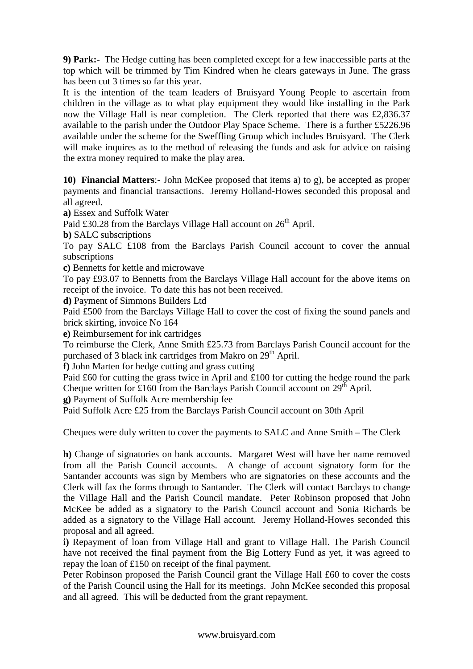**9) Park:-** The Hedge cutting has been completed except for a few inaccessible parts at the top which will be trimmed by Tim Kindred when he clears gateways in June. The grass has been cut 3 times so far this year.

It is the intention of the team leaders of Bruisyard Young People to ascertain from children in the village as to what play equipment they would like installing in the Park now the Village Hall is near completion. The Clerk reported that there was £2,836.37 available to the parish under the Outdoor Play Space Scheme. There is a further £5226.96 available under the scheme for the Sweffling Group which includes Bruisyard. The Clerk will make inquires as to the method of releasing the funds and ask for advice on raising the extra money required to make the play area.

**10) Financial Matters**:- John McKee proposed that items a) to g), be accepted as proper payments and financial transactions. Jeremy Holland-Howes seconded this proposal and all agreed.

**a)** Essex and Suffolk Water

Paid £30.28 from the Barclays Village Hall account on 26<sup>th</sup> April.

**b)** SALC subscriptions

To pay SALC £108 from the Barclays Parish Council account to cover the annual subscriptions

**c)** Bennetts for kettle and microwave

To pay £93.07 to Bennetts from the Barclays Village Hall account for the above items on receipt of the invoice. To date this has not been received.

**d)** Payment of Simmons Builders Ltd

Paid £500 from the Barclays Village Hall to cover the cost of fixing the sound panels and brick skirting, invoice No 164

**e)** Reimbursement for ink cartridges

To reimburse the Clerk, Anne Smith £25.73 from Barclays Parish Council account for the purchased of 3 black ink cartridges from Makro on 29<sup>th</sup> April.

**f)** John Marten for hedge cutting and grass cutting

Paid £60 for cutting the grass twice in April and £100 for cutting the hedge round the park Cheque written for £160 from the Barclays Parish Council account on  $29<sup>th</sup>$  April.

**g)** Payment of Suffolk Acre membership fee

Paid Suffolk Acre £25 from the Barclays Parish Council account on 30th April

Cheques were duly written to cover the payments to SALC and Anne Smith – The Clerk

**h)** Change of signatories on bank accounts. Margaret West will have her name removed from all the Parish Council accounts. A change of account signatory form for the Santander accounts was sign by Members who are signatories on these accounts and the Clerk will fax the forms through to Santander. The Clerk will contact Barclays to change the Village Hall and the Parish Council mandate. Peter Robinson proposed that John McKee be added as a signatory to the Parish Council account and Sonia Richards be added as a signatory to the Village Hall account. Jeremy Holland-Howes seconded this proposal and all agreed.

**i)** Repayment of loan from Village Hall and grant to Village Hall. The Parish Council have not received the final payment from the Big Lottery Fund as yet, it was agreed to repay the loan of £150 on receipt of the final payment.

Peter Robinson proposed the Parish Council grant the Village Hall £60 to cover the costs of the Parish Council using the Hall for its meetings. John McKee seconded this proposal and all agreed. This will be deducted from the grant repayment.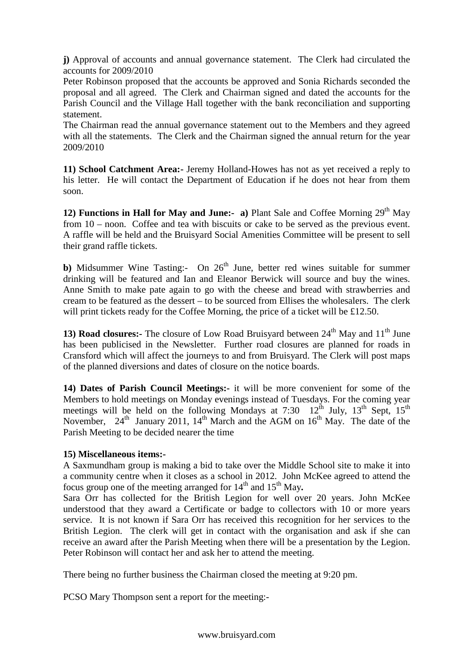**j)** Approval of accounts and annual governance statement. The Clerk had circulated the accounts for 2009/2010

Peter Robinson proposed that the accounts be approved and Sonia Richards seconded the proposal and all agreed. The Clerk and Chairman signed and dated the accounts for the Parish Council and the Village Hall together with the bank reconciliation and supporting statement.

The Chairman read the annual governance statement out to the Members and they agreed with all the statements. The Clerk and the Chairman signed the annual return for the year 2009/2010

**11) School Catchment Area:-** Jeremy Holland-Howes has not as yet received a reply to his letter. He will contact the Department of Education if he does not hear from them soon.

**12) Functions in Hall for May and June:-** a) Plant Sale and Coffee Morning  $29<sup>th</sup>$  May from 10 – noon. Coffee and tea with biscuits or cake to be served as the previous event. A raffle will be held and the Bruisyard Social Amenities Committee will be present to sell their grand raffle tickets.

**b)** Midsummer Wine Tasting:- On  $26<sup>th</sup>$  June, better red wines suitable for summer drinking will be featured and Ian and Eleanor Berwick will source and buy the wines. Anne Smith to make pate again to go with the cheese and bread with strawberries and cream to be featured as the dessert – to be sourced from Ellises the wholesalers. The clerk will print tickets ready for the Coffee Morning, the price of a ticket will be £12.50.

**13) Road closures:-** The closure of Low Road Bruisyard between  $24<sup>th</sup>$  May and  $11<sup>th</sup>$  June has been publicised in the Newsletter. Further road closures are planned for roads in Cransford which will affect the journeys to and from Bruisyard. The Clerk will post maps of the planned diversions and dates of closure on the notice boards.

**14) Dates of Parish Council Meetings:-** it will be more convenient for some of the Members to hold meetings on Monday evenings instead of Tuesdays. For the coming year meetings will be held on the following Mondays at 7:30  $12^{th}$  July,  $13^{th}$  Sept,  $15^{th}$ November,  $24<sup>th</sup>$  January 2011,  $14<sup>th</sup>$  March and the AGM on  $16<sup>th</sup>$  May. The date of the Parish Meeting to be decided nearer the time

### **15) Miscellaneous items:-**

A Saxmundham group is making a bid to take over the Middle School site to make it into a community centre when it closes as a school in 2012. John McKee agreed to attend the focus group one of the meeting arranged for  $14<sup>th</sup>$  and  $15<sup>th</sup>$  May.

Sara Orr has collected for the British Legion for well over 20 years. John McKee understood that they award a Certificate or badge to collectors with 10 or more years service. It is not known if Sara Orr has received this recognition for her services to the British Legion. The clerk will get in contact with the organisation and ask if she can receive an award after the Parish Meeting when there will be a presentation by the Legion. Peter Robinson will contact her and ask her to attend the meeting.

There being no further business the Chairman closed the meeting at 9:20 pm.

PCSO Mary Thompson sent a report for the meeting:-